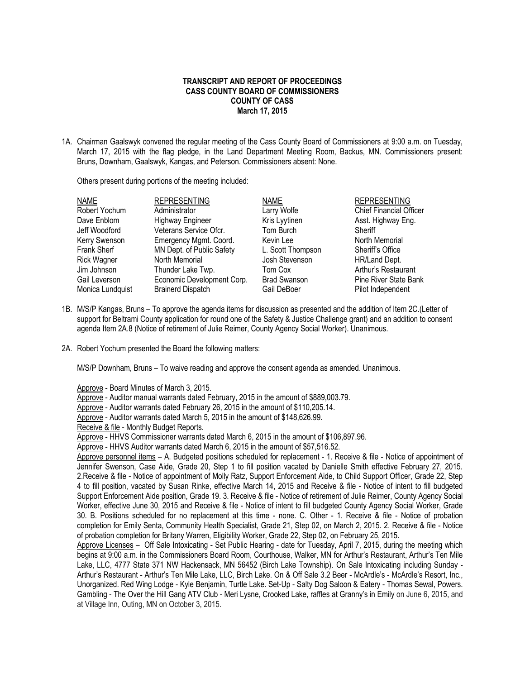## **TRANSCRIPT AND REPORT OF PROCEEDINGS CASS COUNTY BOARD OF COMMISSIONERS COUNTY OF CASS March 17, 2015**

1A. Chairman Gaalswyk convened the regular meeting of the Cass County Board of Commissioners at 9:00 a.m. on Tuesday, March 17, 2015 with the flag pledge, in the Land Department Meeting Room, Backus, MN. Commissioners present: Bruns, Downham, Gaalswyk, Kangas, and Peterson. Commissioners absent: None.

Others present during portions of the meeting included:

| <b>NAME</b>        | <b>REPRESENTING</b>        | <b>NAME</b>         | <b>REPRESENTING</b>            |
|--------------------|----------------------------|---------------------|--------------------------------|
| Robert Yochum      | Administrator              | Larry Wolfe         | <b>Chief Financial Officer</b> |
| Dave Enblom        | <b>Highway Engineer</b>    | Kris Lyytinen       | Asst. Highway Eng.             |
| Jeff Woodford      | Veterans Service Ofcr.     | Tom Burch           | Sheriff                        |
| Kerry Swenson      | Emergency Mgmt. Coord.     | Kevin Lee           | North Memorial                 |
| <b>Frank Sherf</b> | MN Dept. of Public Safety  | L. Scott Thompson   | Sheriff's Office               |
| <b>Rick Wagner</b> | North Memorial             | Josh Stevenson      | HR/Land Dept.                  |
| Jim Johnson        | Thunder Lake Twp.          | Tom Cox             | Arthur's Restaurant            |
| Gail Leverson      | Economic Development Corp. | <b>Brad Swanson</b> | <b>Pine River State Bank</b>   |
| Monica Lundquist   | <b>Brainerd Dispatch</b>   | Gail DeBoer         | Pilot Independent              |

- 1B. M/S/P Kangas, Bruns To approve the agenda items for discussion as presented and the addition of Item 2C.(Letter of support for Beltrami County application for round one of the Safety & Justice Challenge grant) and an addition to consent agenda Item 2A.8 (Notice of retirement of Julie Reimer, County Agency Social Worker). Unanimous.
- 2A. Robert Yochum presented the Board the following matters:

M/S/P Downham, Bruns – To waive reading and approve the consent agenda as amended. Unanimous.

Approve - Board Minutes of March 3, 2015.

Approve - Auditor manual warrants dated February, 2015 in the amount of \$889,003.79.

Approve - Auditor warrants dated February 26, 2015 in the amount of \$110,205.14.

Approve - Auditor warrants dated March 5, 2015 in the amount of \$148,626.99.

Receive & file - Monthly Budget Reports.

Approve - HHVS Commissioner warrants dated March 6, 2015 in the amount of \$106,897.96.

Approve - HHVS Auditor warrants dated March 6, 2015 in the amount of \$57,516.52.

Approve personnel items – A. Budgeted positions scheduled for replacement - 1. Receive & file - Notice of appointment of Jennifer Swenson, Case Aide, Grade 20, Step 1 to fill position vacated by Danielle Smith effective February 27, 2015. 2.Receive & file - Notice of appointment of Molly Ratz, Support Enforcement Aide, to Child Support Officer, Grade 22, Step 4 to fill position, vacated by Susan Rinke, effective March 14, 2015 and Receive & file - Notice of intent to fill budgeted Support Enforcement Aide position, Grade 19. 3. Receive & file - Notice of retirement of Julie Reimer, County Agency Social Worker, effective June 30, 2015 and Receive & file - Notice of intent to fill budgeted County Agency Social Worker, Grade 30. B. Positions scheduled for no replacement at this time - none. C. Other - 1. Receive & file - Notice of probation completion for Emily Senta, Community Health Specialist, Grade 21, Step 02, on March 2, 2015. 2. Receive & file - Notice of probation completion for Britany Warren, Eligibility Worker, Grade 22, Step 02, on February 25, 2015.

Approve Licenses – Off Sale Intoxicating - Set Public Hearing - date for Tuesday, April 7, 2015, during the meeting which begins at 9:00 a.m. in the Commissioners Board Room, Courthouse, Walker, MN for Arthur's Restaurant, Arthur's Ten Mile Lake, LLC, 4777 State 371 NW Hackensack, MN 56452 (Birch Lake Township). On Sale Intoxicating including Sunday - Arthur's Restaurant - Arthur's Ten Mile Lake, LLC, Birch Lake. On & Off Sale 3.2 Beer - McArdle's - McArdle's Resort, Inc., Unorganized. Red Wing Lodge - Kyle Benjamin, Turtle Lake. Set-Up - Salty Dog Saloon & Eatery - Thomas Sewal, Powers. Gambling - The Over the Hill Gang ATV Club - Meri Lysne, Crooked Lake, raffles at Granny's in Emily on June 6, 2015, and at Village Inn, Outing, MN on October 3, 2015.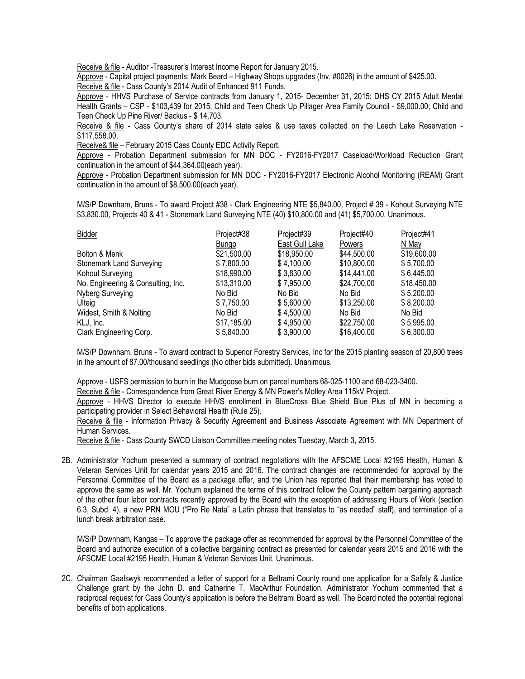Receive & file - Auditor -Treasurer's Interest Income Report for January 2015.

Approve - Capital project payments: Mark Beard – Highway Shops upgrades (Inv. #0026) in the amount of \$425.00.

Receive & file - Cass County's 2014 Audit of Enhanced 911 Funds.

Approve - HHVS Purchase of Service contracts from January 1, 2015- December 31, 2015: DHS CY 2015 Adult Mental Health Grants – CSP - \$103,439 for 2015; Child and Teen Check Up Pillager Area Family Council - \$9,000.00; Child and Teen Check Up Pine River/ Backus - \$ 14,703.

Receive & file - Cass County's share of 2014 state sales & use taxes collected on the Leech Lake Reservation - \$117,558.00.

Receive& file – February 2015 Cass County EDC Activity Report.

Approve - Probation Department submission for MN DOC - FY2016-FY2017 Caseload/Workload Reduction Grant continuation in the amount of \$44,364.00(each year).

Approve - Probation Department submission for MN DOC - FY2016-FY2017 Electronic Alcohol Monitoring (REAM) Grant continuation in the amount of \$8,500.00(each year).

M/S/P Downham, Bruns - To award Project #38 - Clark Engineering NTE \$5,840.00, Project # 39 - Kohout Surveying NTE \$3,830.00, Projects 40 & 41 - Stonemark Land Surveying NTE (40) \$10,800.00 and (41) \$5,700.00. Unanimous.

| Bidder                             | Project#38   | Project#39     | Project#40    | Project#41  |
|------------------------------------|--------------|----------------|---------------|-------------|
|                                    | <b>Bungo</b> | East Gull Lake | <b>Powers</b> | N Mav       |
| Bolton & Menk                      | \$21,500.00  | \$18,950.00    | \$44,500.00   | \$19,600.00 |
| <b>Stonemark Land Surveying</b>    | \$7,800.00   | \$4,100.00     | \$10,800.00   | \$5,700.00  |
| Kohout Surveying                   | \$18,990.00  | \$3,830.00     | \$14,441.00   | \$6,445.00  |
| No. Engineering & Consulting, Inc. | \$13,310.00  | \$7,950.00     | \$24,700.00   | \$18,450.00 |
| Nyberg Surveying                   | No Bid       | No Bid         | No Bid        | \$5,200.00  |
| Ulteig                             | \$7,750.00   | \$5,600.00     | \$13,250.00   | \$8,200.00  |
| Widest, Smith & Nolting            | No Bid       | \$4,500.00     | No Bid        | No Bid      |
| KLJ, Inc.                          | \$17,185.00  | \$4,950.00     | \$22,750.00   | \$5,995.00  |
| Clark Engineering Corp.            | \$5,840.00   | \$3.900.00     | \$16,400.00   | \$6,300.00  |

M/S/P Downham, Bruns - To award contract to Superior Forestry Services, Inc for the 2015 planting season of 20,800 trees in the amount of 87.00/thousand seedlings (No other bids submitted). Unanimous.

Approve - USFS permission to burn in the Mudgoose burn on parcel numbers 68-025-1100 and 68-023-3400.

Receive & file - Correspondence from Great River Energy & MN Power's Motley Area 115kV Project.

Approve - HHVS Director to execute HHVS enrollment in BlueCross Blue Shield Blue Plus of MN in becoming a participating provider in Select Behavioral Health (Rule 25).

Receive & file - Information Privacy & Security Agreement and Business Associate Agreement with MN Department of Human Services.

Receive & file - Cass County SWCD Liaison Committee meeting notes Tuesday, March 3, 2015.

2B. Administrator Yochum presented a summary of contract negotiations with the AFSCME Local #2195 Health, Human & Veteran Services Unit for calendar years 2015 and 2016. The contract changes are recommended for approval by the Personnel Committee of the Board as a package offer, and the Union has reported that their membership has voted to approve the same as well. Mr. Yochum explained the terms of this contract follow the County pattern bargaining approach of the other four labor contracts recently approved by the Board with the exception of addressing Hours of Work (section 6.3, Subd. 4), a new PRN MOU ("Pro Re Nata" a Latin phrase that translates to "as needed" staff), and termination of a lunch break arbitration case.

M/S/P Downham, Kangas – To approve the package offer as recommended for approval by the Personnel Committee of the Board and authorize execution of a collective bargaining contract as presented for calendar years 2015 and 2016 with the AFSCME Local #2195 Health, Human & Veteran Services Unit. Unanimous.

2C. Chairman Gaalswyk recommended a letter of support for a Beltrami County round one application for a Safety & Justice Challenge grant by the John D. and Catherine T. MacArthur Foundation. Administrator Yochum commented that a reciprocal request for Cass County's application is before the Beltrami Board as well. The Board noted the potential regional benefits of both applications.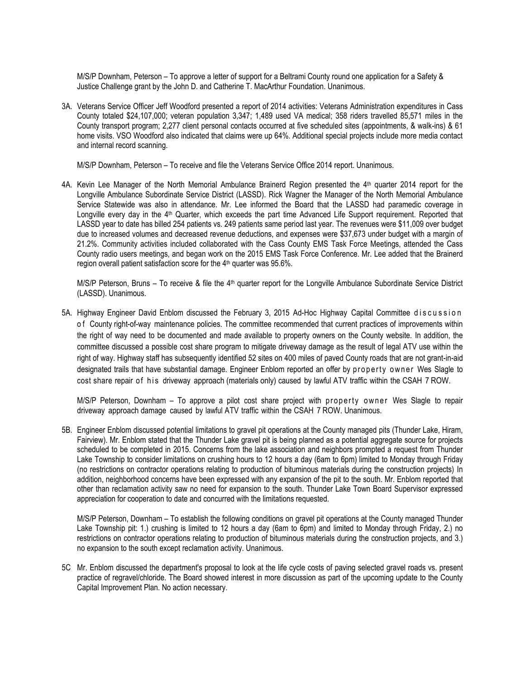M/S/P Downham, Peterson – To approve a letter of support for a Beltrami County round one application for a Safety & Justice Challenge grant by the John D. and Catherine T. MacArthur Foundation. Unanimous.

3A. Veterans Service Officer Jeff Woodford presented a report of 2014 activities: Veterans Administration expenditures in Cass County totaled \$24,107,000; veteran population 3,347; 1,489 used VA medical; 358 riders travelled 85,571 miles in the County transport program; 2,277 client personal contacts occurred at five scheduled sites (appointments, & walk-ins) & 61 home visits. VSO Woodford also indicated that claims were up 64%. Additional special projects include more media contact and internal record scanning.

M/S/P Downham, Peterson – To receive and file the Veterans Service Office 2014 report. Unanimous.

4A. Kevin Lee Manager of the North Memorial Ambulance Brainerd Region presented the 4<sup>th</sup> quarter 2014 report for the Longville Ambulance Subordinate Service District (LASSD). Rick Wagner the Manager of the North Memorial Ambulance Service Statewide was also in attendance. Mr. Lee informed the Board that the LASSD had paramedic coverage in Longville every day in the 4<sup>th</sup> Quarter, which exceeds the part time Advanced Life Support requirement. Reported that LASSD year to date has billed 254 patients vs. 249 patients same period last year. The revenues were \$11,009 over budget due to increased volumes and decreased revenue deductions, and expenses were \$37,673 under budget with a margin of 21.2%. Community activities included collaborated with the Cass County EMS Task Force Meetings, attended the Cass County radio users meetings, and began work on the 2015 EMS Task Force Conference. Mr. Lee added that the Brainerd region overall patient satisfaction score for the 4<sup>th</sup> quarter was 95.6%.

M/S/P Peterson, Bruns – To receive & file the 4th quarter report for the Longville Ambulance Subordinate Service District (LASSD). Unanimous.

5A. Highway Engineer David Enblom discussed the February 3, 2015 Ad-Hoc Highway Capital Committee discussion of County right-of-way maintenance policies. The committee recommended that current practices of improvements within the right of way need to be documented and made available to property owners on the County website. In addition, the committee discussed a possible cost share program to mitigate driveway damage as the result of legal ATV use within the right of way. Highway staff has subsequently identified 52 sites on 400 miles of paved County roads that are not grant-in-aid designated trails that have substantial damage. Engineer Enblom reported an offer by property owner Wes Slagle to cost share repair of his driveway approach (materials only) caused by lawful ATV traffic within the CSAH 7 ROW.

M/S/P Peterson, Downham – To approve a pilot cost share project with property owner Wes Slagle to repair driveway approach damage caused by lawful ATV traffic within the CSAH 7 ROW. Unanimous.

5B. Engineer Enblom discussed potential limitations to gravel pit operations at the County managed pits (Thunder Lake, Hiram, Fairview). Mr. Enblom stated that the Thunder Lake gravel pit is being planned as a potential aggregate source for projects scheduled to be completed in 2015. Concerns from the lake association and neighbors prompted a request from Thunder Lake Township to consider limitations on crushing hours to 12 hours a day (6am to 6pm) limited to Monday through Friday (no restrictions on contractor operations relating to production of bituminous materials during the construction projects) In addition, neighborhood concerns have been expressed with any expansion of the pit to the south. Mr. Enblom reported that other than reclamation activity saw no need for expansion to the south. Thunder Lake Town Board Supervisor expressed appreciation for cooperation to date and concurred with the limitations requested.

M/S/P Peterson, Downham – To establish the following conditions on gravel pit operations at the County managed Thunder Lake Township pit: 1.) crushing is limited to 12 hours a day (6am to 6pm) and limited to Monday through Friday, 2.) no restrictions on contractor operations relating to production of bituminous materials during the construction projects, and 3.) no expansion to the south except reclamation activity. Unanimous.

5C Mr. Enblom discussed the department's proposal to look at the life cycle costs of paving selected gravel roads vs. present practice of regravel/chloride. The Board showed interest in more discussion as part of the upcoming update to the County Capital Improvement Plan. No action necessary.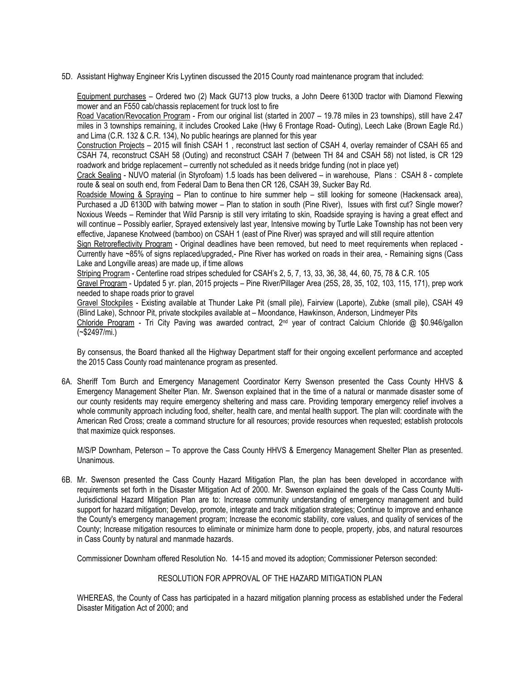5D. Assistant Highway Engineer Kris Lyytinen discussed the 2015 County road maintenance program that included:

Equipment purchases – Ordered two (2) Mack GU713 plow trucks, a John Deere 6130D tractor with Diamond Flexwing mower and an F550 cab/chassis replacement for truck lost to fire

Road Vacation/Revocation Program - From our original list (started in 2007 – 19.78 miles in 23 townships), still have 2.47 miles in 3 townships remaining, it includes Crooked Lake (Hwy 6 Frontage Road- Outing), Leech Lake (Brown Eagle Rd.) and Lima (C.R. 132 & C.R. 134), No public hearings are planned for this year

Construction Projects – 2015 will finish CSAH 1 , reconstruct last section of CSAH 4, overlay remainder of CSAH 65 and CSAH 74, reconstruct CSAH 58 (Outing) and reconstruct CSAH 7 (between TH 84 and CSAH 58) not listed, is CR 129 roadwork and bridge replacement – currently not scheduled as it needs bridge funding (not in place yet)

Crack Sealing - NUVO material (in Styrofoam) 1.5 loads has been delivered – in warehouse, Plans : CSAH 8 - complete route & seal on south end, from Federal Dam to Bena then CR 126, CSAH 39, Sucker Bay Rd.

Roadside Mowing & Spraying – Plan to continue to hire summer help – still looking for someone (Hackensack area), Purchased a JD 6130D with batwing mower – Plan to station in south (Pine River), Issues with first cut? Single mower? Noxious Weeds – Reminder that Wild Parsnip is still very irritating to skin, Roadside spraying is having a great effect and will continue – Possibly earlier, Sprayed extensively last year, Intensive mowing by Turtle Lake Township has not been very effective, Japanese Knotweed (bamboo) on CSAH 1 (east of Pine River) was sprayed and will still require attention

Sign Retroreflectivity Program - Original deadlines have been removed, but need to meet requirements when replaced - Currently have ~85% of signs replaced/upgraded,- Pine River has worked on roads in their area, - Remaining signs (Cass Lake and Longville areas) are made up, if time allows

Striping Program - Centerline road stripes scheduled for CSAH's 2, 5, 7, 13, 33, 36, 38, 44, 60, 75, 78 & C.R. 105

Gravel Program - Updated 5 yr. plan, 2015 projects – Pine River/Pillager Area (25S, 28, 35, 102, 103, 115, 171), prep work needed to shape roads prior to gravel

Gravel Stockpiles - Existing available at Thunder Lake Pit (small pile), Fairview (Laporte), Zubke (small pile), CSAH 49 (Blind Lake), Schnoor Pit, private stockpiles available at – Moondance, Hawkinson, Anderson, Lindmeyer Pits

Chloride Program - Tri City Paving was awarded contract, 2<sup>nd</sup> year of contract Calcium Chloride @ \$0.946/gallon (~\$2497/mi.)

By consensus, the Board thanked all the Highway Department staff for their ongoing excellent performance and accepted the 2015 Cass County road maintenance program as presented.

6A. Sheriff Tom Burch and Emergency Management Coordinator Kerry Swenson presented the Cass County HHVS & Emergency Management Shelter Plan. Mr. Swenson explained that in the time of a natural or manmade disaster some of our county residents may require emergency sheltering and mass care. Providing temporary emergency relief involves a whole community approach including food, shelter, health care, and mental health support. The plan will: coordinate with the American Red Cross; create a command structure for all resources; provide resources when requested; establish protocols that maximize quick responses.

M/S/P Downham, Peterson – To approve the Cass County HHVS & Emergency Management Shelter Plan as presented. Unanimous.

6B. Mr. Swenson presented the Cass County Hazard Mitigation Plan, the plan has been developed in accordance with requirements set forth in the Disaster Mitigation Act of 2000. Mr. Swenson explained the goals of the Cass County Multi-Jurisdictional Hazard Mitigation Plan are to: Increase community understanding of emergency management and build support for hazard mitigation; Develop, promote, integrate and track mitigation strategies; Continue to improve and enhance the County's emergency management program; Increase the economic stability, core values, and quality of services of the County; Increase mitigation resources to eliminate or minimize harm done to people, property, jobs, and natural resources in Cass County by natural and manmade hazards.

Commissioner Downham offered Resolution No. 14-15 and moved its adoption; Commissioner Peterson seconded:

## RESOLUTION FOR APPROVAL OF THE HAZARD MITIGATION PLAN

WHEREAS, the County of Cass has participated in a hazard mitigation planning process as established under the Federal Disaster Mitigation Act of 2000; and